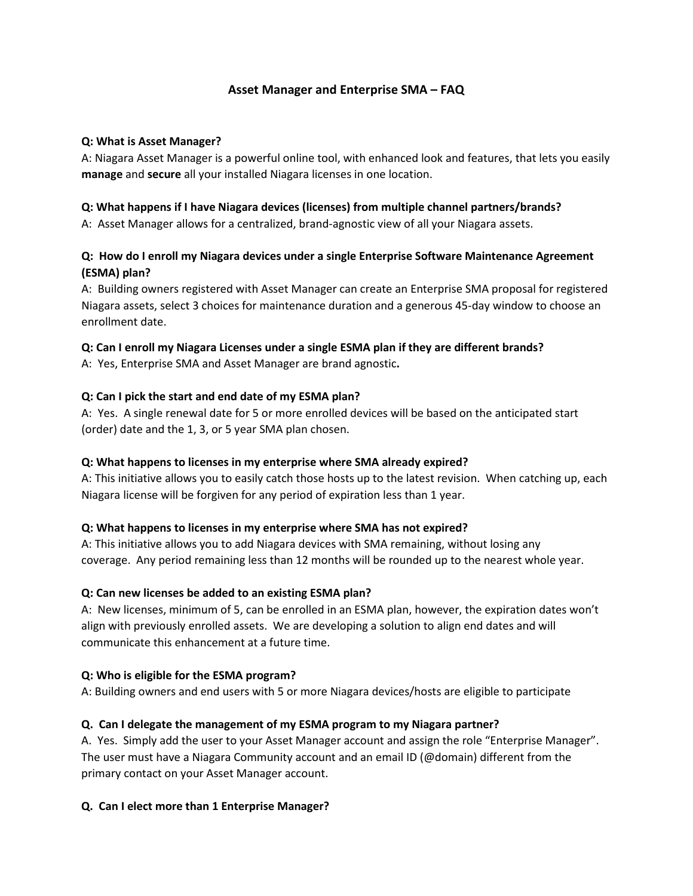# **Asset Manager and Enterprise SMA – FAQ**

#### **Q: What is Asset Manager?**

A: Niagara Asset Manager is a powerful online tool, with enhanced look and features, that lets you easily **manage** and **secure** all your installed Niagara licenses in one location.

## **Q: What happens if I have Niagara devices (licenses) from multiple channel partners/brands?**

A: Asset Manager allows for a centralized, brand-agnostic view of all your Niagara assets.

## **Q: How do I enroll my Niagara devices under a single Enterprise Software Maintenance Agreement (ESMA) plan?**

A: Building owners registered with Asset Manager can create an Enterprise SMA proposal for registered Niagara assets, select 3 choices for maintenance duration and a generous 45-day window to choose an enrollment date.

## **Q: Can I enroll my Niagara Licenses under a single ESMA plan if they are different brands?**

A: Yes, Enterprise SMA and Asset Manager are brand agnostic**.**

## **Q: Can I pick the start and end date of my ESMA plan?**

A: Yes. A single renewal date for 5 or more enrolled devices will be based on the anticipated start (order) date and the 1, 3, or 5 year SMA plan chosen.

## **Q: What happens to licenses in my enterprise where SMA already expired?**

A: This initiative allows you to easily catch those hosts up to the latest revision. When catching up, each Niagara license will be forgiven for any period of expiration less than 1 year.

## **Q: What happens to licenses in my enterprise where SMA has not expired?**

A: This initiative allows you to add Niagara devices with SMA remaining, without losing any coverage. Any period remaining less than 12 months will be rounded up to the nearest whole year.

#### **Q: Can new licenses be added to an existing ESMA plan?**

A: New licenses, minimum of 5, can be enrolled in an ESMA plan, however, the expiration dates won't align with previously enrolled assets. We are developing a solution to align end dates and will communicate this enhancement at a future time.

## **Q: Who is eligible for the ESMA program?**

A: Building owners and end users with 5 or more Niagara devices/hosts are eligible to participate

## **Q. Can I delegate the management of my ESMA program to my Niagara partner?**

A. Yes. Simply add the user to your Asset Manager account and assign the role "Enterprise Manager". The user must have a Niagara Community account and an email ID (@domain) different from the primary contact on your Asset Manager account.

## **Q. Can I elect more than 1 Enterprise Manager?**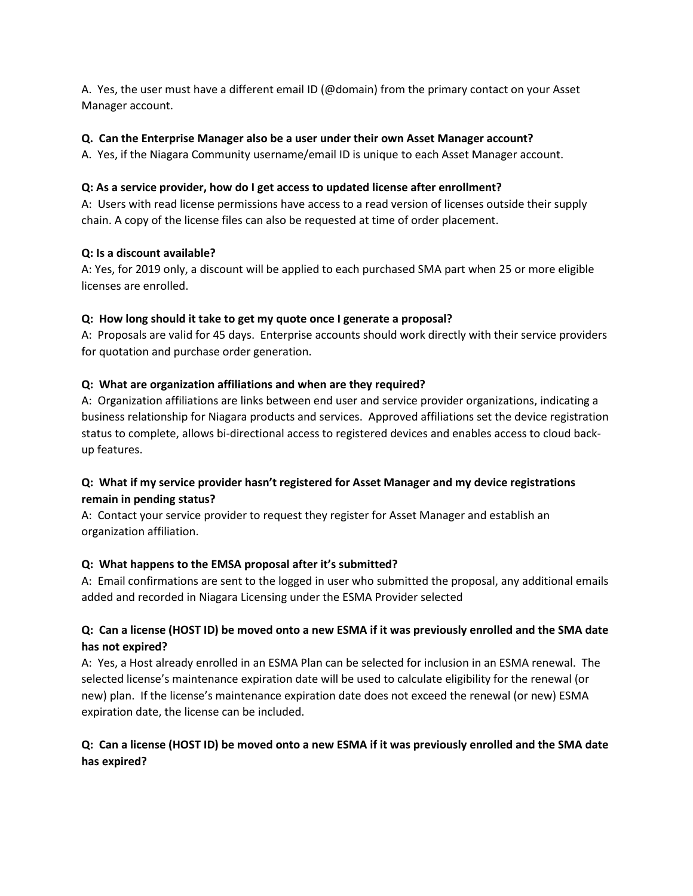A. Yes, the user must have a different email ID (@domain) from the primary contact on your Asset Manager account.

### **Q. Can the Enterprise Manager also be a user under their own Asset Manager account?**

A. Yes, if the Niagara Community username/email ID is unique to each Asset Manager account.

### **Q: As a service provider, how do I get access to updated license after enrollment?**

A: Users with read license permissions have access to a read version of licenses outside their supply chain. A copy of the license files can also be requested at time of order placement.

#### **Q: Is a discount available?**

A: Yes, for 2019 only, a discount will be applied to each purchased SMA part when 25 or more eligible licenses are enrolled.

### **Q: How long should it take to get my quote once I generate a proposal?**

A: Proposals are valid for 45 days. Enterprise accounts should work directly with their service providers for quotation and purchase order generation.

### **Q: What are organization affiliations and when are they required?**

A: Organization affiliations are links between end user and service provider organizations, indicating a business relationship for Niagara products and services. Approved affiliations set the device registration status to complete, allows bi-directional access to registered devices and enables access to cloud backup features.

# **Q: What if my service provider hasn't registered for Asset Manager and my device registrations remain in pending status?**

A: Contact your service provider to request they register for Asset Manager and establish an organization affiliation.

## **Q: What happens to the EMSA proposal after it's submitted?**

A: Email confirmations are sent to the logged in user who submitted the proposal, any additional emails added and recorded in Niagara Licensing under the ESMA Provider selected

# **Q: Can a license (HOST ID) be moved onto a new ESMA if it was previously enrolled and the SMA date has not expired?**

A: Yes, a Host already enrolled in an ESMA Plan can be selected for inclusion in an ESMA renewal. The selected license's maintenance expiration date will be used to calculate eligibility for the renewal (or new) plan. If the license's maintenance expiration date does not exceed the renewal (or new) ESMA expiration date, the license can be included.

# **Q: Can a license (HOST ID) be moved onto a new ESMA if it was previously enrolled and the SMA date has expired?**